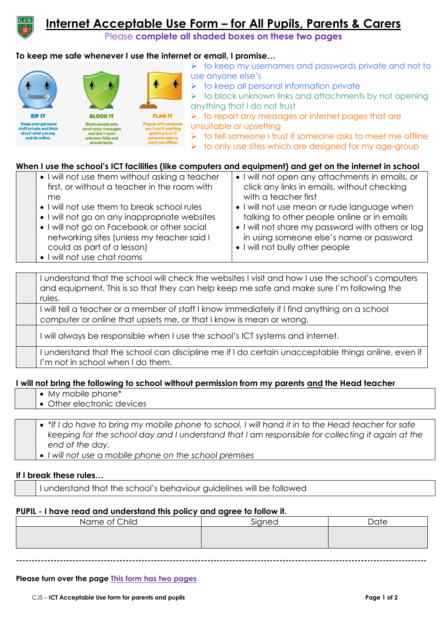

# **Internet Acceptable Use Form – for All Pupils, Parents & Carers**

Please **complete all shaded boxes on these two pages**

# **To keep me safe whenever I use the internet or email, I promise…**

|                                               | T                                                   |                                                          |   |
|-----------------------------------------------|-----------------------------------------------------|----------------------------------------------------------|---|
| <b>ZIP IT</b>                                 | <b>BLOCK IT</b>                                     | <b>FLAG IT</b>                                           |   |
| Keep your personal<br>stuff private and think | <b>Block people who</b><br>send nasty messages      | Flag up with someone<br>you trust if anything            | U |
| about what you say<br>and do online.          | and don't open<br>unknown links and<br>attachments. | upsets you or if<br>someone asks to<br>meet you offline. |   |

- ➢ to keep my usernames and passwords private and not to use anyone else's
- ➢ to keep all personal information private

 $\rightarrow$  to block unknown links and attachments by not opening anything that I do not trust

➢ to report any messages or internet pages that are unsuitable or upsetting

➢ to tell someone I trust if someone asks to meet me offline

➢ to only use sites which are designed for my age-group

## **When I use the school's ICT facilities (like computers and equipment) and get on the internet in school**

| • I will not use them without asking a teacher | • I will not open any attachments in emails, or   |
|------------------------------------------------|---------------------------------------------------|
| first, or without a teacher in the room with   | click any links in emails, without checking       |
| me                                             | with a teacher first                              |
| • I will not use them to break school rules    | • I will not use mean or rude language when       |
| • I will not go on any inappropriate websites  | talking to other people online or in emails       |
| • I will not go on Facebook or other social    | • I will not share my password with others or log |
| networking sites (unless my teacher said I     | in using someone else's name or password          |
| could as part of a lesson)                     | • I will not bully other people                   |
| • I will not use chat rooms                    |                                                   |

I understand that the school will check the websites I visit and how I use the school's computers and equipment. This is so that they can help keep me safe and make sure I'm following the rules.

I will tell a teacher or a member of staff I know immediately if I find anything on a school computer or online that upsets me, or that I know is mean or wrong.

I will always be responsible when I use the school's ICT systems and internet.

I understand that the school can discipline me if I do certain unacceptable things online, even if I'm not in school when I do them.

#### **I will not bring the following to school without permission from my parents and the Head teacher**

- My mobile phone\*
- Other electronic devices
- *\*If I do have to bring my mobile phone to school, I will hand it in to the Head teacher for safe keeping for the school day and I understand that I am responsible for collecting it again at the end of the day.*
- *I will not use a mobile phone on the school premises*

#### **If I break these rules…**

I understand that the school's behaviour guidelines will be followed

#### **PUPIL - I have read and understand this policy and agree to follow it.**

| Name of Child | Signed | Date |
|---------------|--------|------|
|               |        |      |
|               |        |      |
|               |        |      |

**-----------------------------------------------------------------------------------------------------------------------------------**

**Please turn over the page This form has two pages**